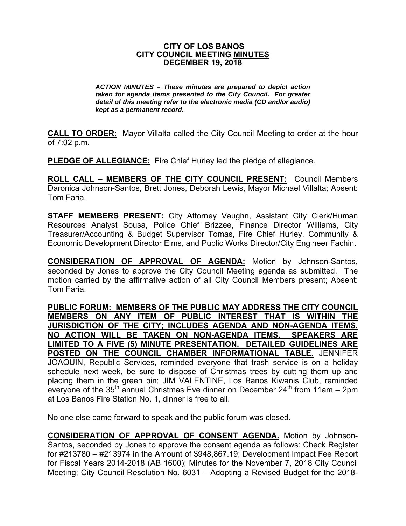#### **CITY OF LOS BANOS CITY COUNCIL MEETING MINUTES DECEMBER 19, 2018**

*ACTION MINUTES – These minutes are prepared to depict action taken for agenda items presented to the City Council. For greater detail of this meeting refer to the electronic media (CD and/or audio) kept as a permanent record.* 

**CALL TO ORDER:** Mayor Villalta called the City Council Meeting to order at the hour of 7:02 p.m.

**PLEDGE OF ALLEGIANCE:** Fire Chief Hurley led the pledge of allegiance.

**ROLL CALL – MEMBERS OF THE CITY COUNCIL PRESENT:** Council Members Daronica Johnson-Santos, Brett Jones, Deborah Lewis, Mayor Michael Villalta; Absent: Tom Faria.

**STAFF MEMBERS PRESENT:** City Attorney Vaughn, Assistant City Clerk/Human Resources Analyst Sousa, Police Chief Brizzee, Finance Director Williams, City Treasurer/Accounting & Budget Supervisor Tomas, Fire Chief Hurley, Community & Economic Development Director Elms, and Public Works Director/City Engineer Fachin.

**CONSIDERATION OF APPROVAL OF AGENDA:** Motion by Johnson-Santos, seconded by Jones to approve the City Council Meeting agenda as submitted. The motion carried by the affirmative action of all City Council Members present; Absent: Tom Faria.

**PUBLIC FORUM: MEMBERS OF THE PUBLIC MAY ADDRESS THE CITY COUNCIL MEMBERS ON ANY ITEM OF PUBLIC INTEREST THAT IS WITHIN THE JURISDICTION OF THE CITY; INCLUDES AGENDA AND NON-AGENDA ITEMS. NO ACTION WILL BE TAKEN ON NON-AGENDA ITEMS. SPEAKERS ARE LIMITED TO A FIVE (5) MINUTE PRESENTATION. DETAILED GUIDELINES ARE POSTED ON THE COUNCIL CHAMBER INFORMATIONAL TABLE.** JENNIFER JOAQUIN, Republic Services, reminded everyone that trash service is on a holiday schedule next week, be sure to dispose of Christmas trees by cutting them up and placing them in the green bin; JIM VALENTINE, Los Banos Kiwanis Club, reminded everyone of the  $35<sup>th</sup>$  annual Christmas Eve dinner on December 24<sup>th</sup> from 11am – 2pm at Los Banos Fire Station No. 1, dinner is free to all.

No one else came forward to speak and the public forum was closed.

**CONSIDERATION OF APPROVAL OF CONSENT AGENDA.** Motion by Johnson-Santos, seconded by Jones to approve the consent agenda as follows: Check Register for #213780 – #213974 in the Amount of \$948,867.19; Development Impact Fee Report for Fiscal Years 2014-2018 (AB 1600); Minutes for the November 7, 2018 City Council Meeting; City Council Resolution No. 6031 – Adopting a Revised Budget for the 2018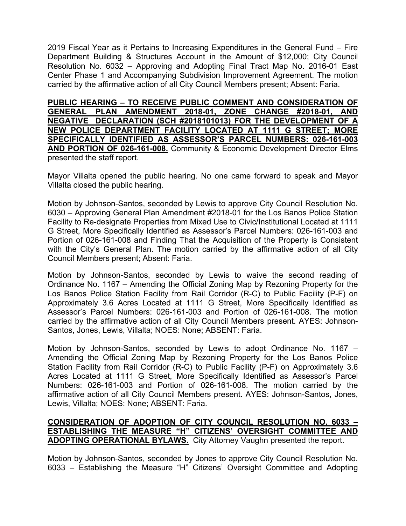2019 Fiscal Year as it Pertains to Increasing Expenditures in the General Fund – Fire Department Building & Structures Account in the Amount of \$12,000; City Council Resolution No. 6032 – Approving and Adopting Final Tract Map No. 2016-01 East Center Phase 1 and Accompanying Subdivision Improvement Agreement. The motion carried by the affirmative action of all City Council Members present; Absent: Faria.

**PUBLIC HEARING – TO RECEIVE PUBLIC COMMENT AND CONSIDERATION OF GENERAL PLAN AMENDMENT 2018-01, ZONE CHANGE #2018-01, AND NEGATIVE DECLARATION (SCH #2018101013) FOR THE DEVELOPMENT OF A NEW POLICE DEPARTMENT FACILITY LOCATED AT 1111 G STREET; MORE SPECIFICALLY IDENTIFIED AS ASSESSOR'S PARCEL NUMBERS: 026-161-003 AND PORTION OF 026-161-008.** Community & Economic Development Director Elms presented the staff report.

Mayor Villalta opened the public hearing. No one came forward to speak and Mayor Villalta closed the public hearing.

 Motion by Johnson-Santos, seconded by Lewis to approve City Council Resolution No. 6030 – Approving General Plan Amendment #2018-01 for the Los Banos Police Station Facility to Re-designate Properties from Mixed Use to Civic/Institutional Located at 1111 G Street, More Specifically Identified as Assessor's Parcel Numbers: 026-161-003 and Portion of 026-161-008 and Finding That the Acquisition of the Property is Consistent with the City's General Plan. The motion carried by the affirmative action of all City Council Members present; Absent: Faria.

Motion by Johnson-Santos, seconded by Lewis to waive the second reading of Ordinance No. 1167 – Amending the Official Zoning Map by Rezoning Property for the Los Banos Police Station Facility from Rail Corridor (R-C) to Public Facility (P-F) on Approximately 3.6 Acres Located at 1111 G Street, More Specifically Identified as Assessor's Parcel Numbers: 026-161-003 and Portion of 026-161-008. The motion carried by the affirmative action of all City Council Members present. AYES: Johnson-Santos, Jones, Lewis, Villalta; NOES: None; ABSENT: Faria.

Motion by Johnson-Santos, seconded by Lewis to adopt Ordinance No. 1167 – Amending the Official Zoning Map by Rezoning Property for the Los Banos Police Station Facility from Rail Corridor (R-C) to Public Facility (P-F) on Approximately 3.6 Acres Located at 1111 G Street, More Specifically Identified as Assessor's Parcel Numbers: 026-161-003 and Portion of 026-161-008. The motion carried by the affirmative action of all City Council Members present. AYES: Johnson-Santos, Jones, Lewis, Villalta; NOES: None; ABSENT: Faria.

# **CONSIDERATION OF ADOPTION OF CITY COUNCIL RESOLUTION NO. 6033 – ESTABLISHING THE MEASURE "H" CITIZENS' OVERSIGHT COMMITTEE AND ADOPTING OPERATIONAL BYLAWS.** City Attorney Vaughn presented the report.

Motion by Johnson-Santos, seconded by Jones to approve City Council Resolution No. 6033 – Establishing the Measure "H" Citizens' Oversight Committee and Adopting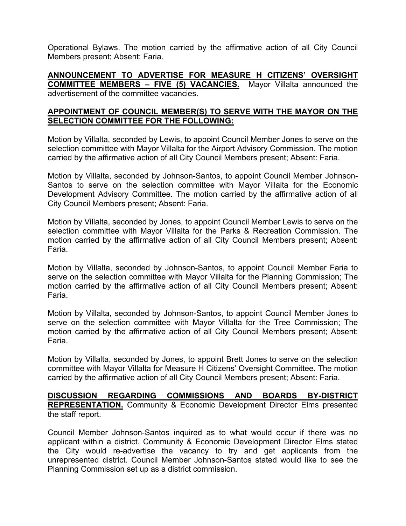Operational Bylaws. The motion carried by the affirmative action of all City Council Members present; Absent: Faria.

**ANNOUNCEMENT TO ADVERTISE FOR MEASURE H CITIZENS' OVERSIGHT COMMITTEE MEMBERS – FIVE (5) VACANCIES.** Mayor Villalta announced the advertisement of the committee vacancies.

## **APPOINTMENT OF COUNCIL MEMBER(S) TO SERVE WITH THE MAYOR ON THE SELECTION COMMITTEE FOR THE FOLLOWING:**

Motion by Villalta, seconded by Lewis, to appoint Council Member Jones to serve on the selection committee with Mayor Villalta for the Airport Advisory Commission. The motion carried by the affirmative action of all City Council Members present; Absent: Faria.

Motion by Villalta, seconded by Johnson-Santos, to appoint Council Member Johnson-Santos to serve on the selection committee with Mayor Villalta for the Economic Development Advisory Committee. The motion carried by the affirmative action of all City Council Members present; Absent: Faria.

Motion by Villalta, seconded by Jones, to appoint Council Member Lewis to serve on the selection committee with Mayor Villalta for the Parks & Recreation Commission. The motion carried by the affirmative action of all City Council Members present; Absent: Faria.

Motion by Villalta, seconded by Johnson-Santos, to appoint Council Member Faria to serve on the selection committee with Mayor Villalta for the Planning Commission; The motion carried by the affirmative action of all City Council Members present; Absent: Faria.

Motion by Villalta, seconded by Johnson-Santos, to appoint Council Member Jones to serve on the selection committee with Mayor Villalta for the Tree Commission; The motion carried by the affirmative action of all City Council Members present; Absent: Faria.

Motion by Villalta, seconded by Jones, to appoint Brett Jones to serve on the selection committee with Mayor Villalta for Measure H Citizens' Oversight Committee. The motion carried by the affirmative action of all City Council Members present; Absent: Faria.

**DISCUSSION REGARDING COMMISSIONS AND BOARDS BY-DISTRICT REPRESENTATION.** Community & Economic Development Director Elms presented the staff report.

Council Member Johnson-Santos inquired as to what would occur if there was no applicant within a district. Community & Economic Development Director Elms stated the City would re-advertise the vacancy to try and get applicants from the unrepresented district. Council Member Johnson-Santos stated would like to see the Planning Commission set up as a district commission.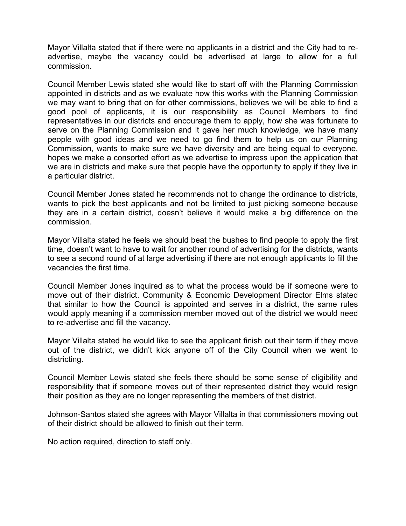Mayor Villalta stated that if there were no applicants in a district and the City had to readvertise, maybe the vacancy could be advertised at large to allow for a full commission.

Council Member Lewis stated she would like to start off with the Planning Commission appointed in districts and as we evaluate how this works with the Planning Commission we may want to bring that on for other commissions, believes we will be able to find a good pool of applicants, it is our responsibility as Council Members to find representatives in our districts and encourage them to apply, how she was fortunate to serve on the Planning Commission and it gave her much knowledge, we have many people with good ideas and we need to go find them to help us on our Planning Commission, wants to make sure we have diversity and are being equal to everyone, hopes we make a consorted effort as we advertise to impress upon the application that we are in districts and make sure that people have the opportunity to apply if they live in a particular district.

Council Member Jones stated he recommends not to change the ordinance to districts, wants to pick the best applicants and not be limited to just picking someone because they are in a certain district, doesn't believe it would make a big difference on the commission.

Mayor Villalta stated he feels we should beat the bushes to find people to apply the first time, doesn't want to have to wait for another round of advertising for the districts, wants to see a second round of at large advertising if there are not enough applicants to fill the vacancies the first time.

Council Member Jones inquired as to what the process would be if someone were to move out of their district. Community & Economic Development Director Elms stated that similar to how the Council is appointed and serves in a district, the same rules would apply meaning if a commission member moved out of the district we would need to re-advertise and fill the vacancy.

Mayor Villalta stated he would like to see the applicant finish out their term if they move out of the district, we didn't kick anyone off of the City Council when we went to districting.

Council Member Lewis stated she feels there should be some sense of eligibility and responsibility that if someone moves out of their represented district they would resign their position as they are no longer representing the members of that district.

Johnson-Santos stated she agrees with Mayor Villalta in that commissioners moving out of their district should be allowed to finish out their term.

No action required, direction to staff only.